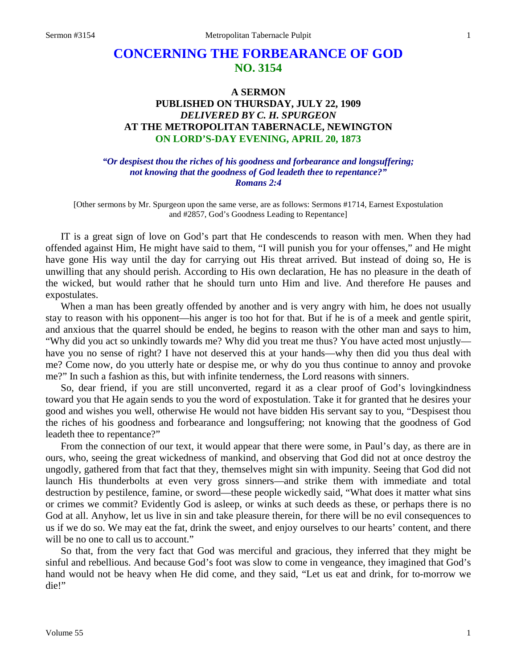# **CONCERNING THE FORBEARANCE OF GOD NO. 3154**

# **A SERMON PUBLISHED ON THURSDAY, JULY 22, 1909** *DELIVERED BY C. H. SPURGEON* **AT THE METROPOLITAN TABERNACLE, NEWINGTON ON LORD'S-DAY EVENING, APRIL 20, 1873**

*"Or despisest thou the riches of his goodness and forbearance and longsuffering; not knowing that the goodness of God leadeth thee to repentance?" Romans 2:4*

[Other sermons by Mr. Spurgeon upon the same verse, are as follows: Sermons #1714, Earnest Expostulation and #2857, God's Goodness Leading to Repentance]

IT is a great sign of love on God's part that He condescends to reason with men. When they had offended against Him, He might have said to them, "I will punish you for your offenses," and He might have gone His way until the day for carrying out His threat arrived. But instead of doing so, He is unwilling that any should perish. According to His own declaration, He has no pleasure in the death of the wicked, but would rather that he should turn unto Him and live. And therefore He pauses and expostulates.

When a man has been greatly offended by another and is very angry with him, he does not usually stay to reason with his opponent—his anger is too hot for that. But if he is of a meek and gentle spirit, and anxious that the quarrel should be ended, he begins to reason with the other man and says to him, "Why did you act so unkindly towards me? Why did you treat me thus? You have acted most unjustly have you no sense of right? I have not deserved this at your hands—why then did you thus deal with me? Come now, do you utterly hate or despise me, or why do you thus continue to annoy and provoke me?" In such a fashion as this, but with infinite tenderness, the Lord reasons with sinners.

So, dear friend, if you are still unconverted, regard it as a clear proof of God's lovingkindness toward you that He again sends to you the word of expostulation. Take it for granted that he desires your good and wishes you well, otherwise He would not have bidden His servant say to you, "Despisest thou the riches of his goodness and forbearance and longsuffering; not knowing that the goodness of God leadeth thee to repentance?"

From the connection of our text, it would appear that there were some, in Paul's day, as there are in ours, who, seeing the great wickedness of mankind, and observing that God did not at once destroy the ungodly, gathered from that fact that they, themselves might sin with impunity. Seeing that God did not launch His thunderbolts at even very gross sinners—and strike them with immediate and total destruction by pestilence, famine, or sword—these people wickedly said, "What does it matter what sins or crimes we commit? Evidently God is asleep, or winks at such deeds as these, or perhaps there is no God at all. Anyhow, let us live in sin and take pleasure therein, for there will be no evil consequences to us if we do so. We may eat the fat, drink the sweet, and enjoy ourselves to our hearts' content, and there will be no one to call us to account."

So that, from the very fact that God was merciful and gracious, they inferred that they might be sinful and rebellious. And because God's foot was slow to come in vengeance, they imagined that God's hand would not be heavy when He did come, and they said, "Let us eat and drink, for to-morrow we die!"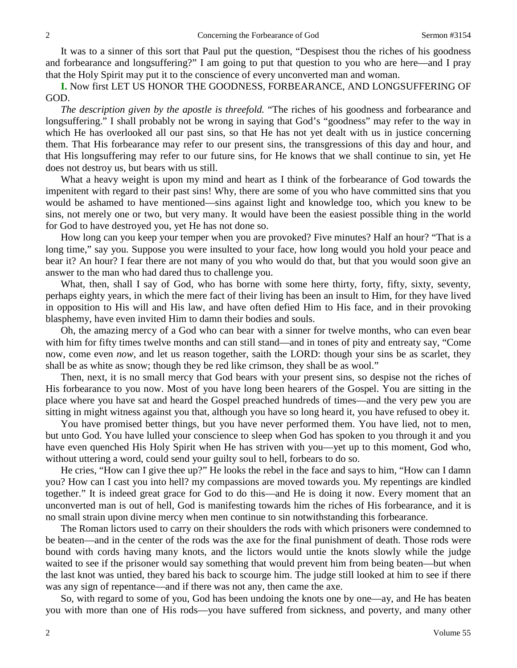It was to a sinner of this sort that Paul put the question, "Despisest thou the riches of his goodness and forbearance and longsuffering?" I am going to put that question to you who are here—and I pray that the Holy Spirit may put it to the conscience of every unconverted man and woman.

**I.** Now first LET US HONOR THE GOODNESS, FORBEARANCE, AND LONGSUFFERING OF GOD.

*The description given by the apostle is threefold.* "The riches of his goodness and forbearance and longsuffering." I shall probably not be wrong in saying that God's "goodness" may refer to the way in which He has overlooked all our past sins, so that He has not yet dealt with us in justice concerning them. That His forbearance may refer to our present sins, the transgressions of this day and hour, and that His longsuffering may refer to our future sins, for He knows that we shall continue to sin, yet He does not destroy us, but bears with us still.

What a heavy weight is upon my mind and heart as I think of the forbearance of God towards the impenitent with regard to their past sins! Why, there are some of you who have committed sins that you would be ashamed to have mentioned—sins against light and knowledge too, which you knew to be sins, not merely one or two, but very many. It would have been the easiest possible thing in the world for God to have destroyed you, yet He has not done so.

How long can you keep your temper when you are provoked? Five minutes? Half an hour? "That is a long time," say you. Suppose you were insulted to your face, how long would you hold your peace and bear it? An hour? I fear there are not many of you who would do that, but that you would soon give an answer to the man who had dared thus to challenge you.

What, then, shall I say of God, who has borne with some here thirty, forty, fifty, sixty, seventy, perhaps eighty years, in which the mere fact of their living has been an insult to Him, for they have lived in opposition to His will and His law, and have often defied Him to His face, and in their provoking blasphemy, have even invited Him to damn their bodies and souls.

Oh, the amazing mercy of a God who can bear with a sinner for twelve months, who can even bear with him for fifty times twelve months and can still stand—and in tones of pity and entreaty say, "Come now, come even *now*, and let us reason together, saith the LORD: though your sins be as scarlet, they shall be as white as snow; though they be red like crimson, they shall be as wool."

Then, next, it is no small mercy that God bears with your present sins, so despise not the riches of His forbearance to you now. Most of you have long been hearers of the Gospel. You are sitting in the place where you have sat and heard the Gospel preached hundreds of times—and the very pew you are sitting in might witness against you that, although you have so long heard it, you have refused to obey it.

You have promised better things, but you have never performed them. You have lied, not to men, but unto God. You have lulled your conscience to sleep when God has spoken to you through it and you have even quenched His Holy Spirit when He has striven with you—yet up to this moment, God who, without uttering a word, could send your guilty soul to hell, forbears to do so.

He cries, "How can I give thee up?" He looks the rebel in the face and says to him, "How can I damn you? How can I cast you into hell? my compassions are moved towards you. My repentings are kindled together." It is indeed great grace for God to do this—and He is doing it now. Every moment that an unconverted man is out of hell, God is manifesting towards him the riches of His forbearance, and it is no small strain upon divine mercy when men continue to sin notwithstanding this forbearance.

The Roman lictors used to carry on their shoulders the rods with which prisoners were condemned to be beaten—and in the center of the rods was the axe for the final punishment of death. Those rods were bound with cords having many knots, and the lictors would untie the knots slowly while the judge waited to see if the prisoner would say something that would prevent him from being beaten—but when the last knot was untied, they bared his back to scourge him. The judge still looked at him to see if there was any sign of repentance—and if there was not any, then came the axe.

So, with regard to some of you, God has been undoing the knots one by one—ay, and He has beaten you with more than one of His rods—you have suffered from sickness, and poverty, and many other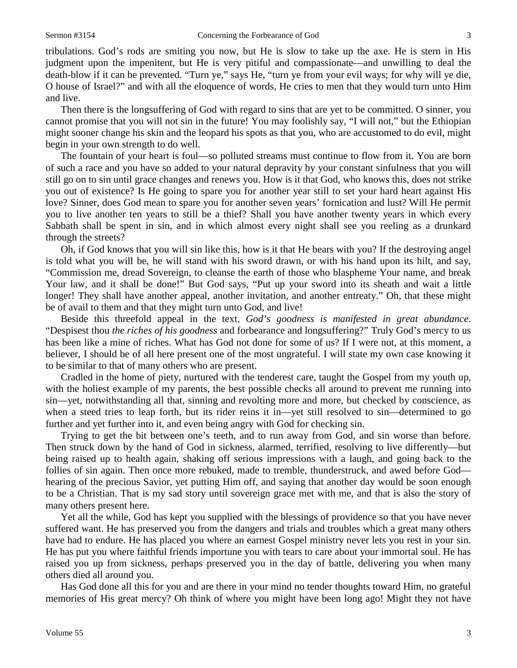tribulations. God's rods are smiting you now, but He is slow to take up the axe. He is stern in His judgment upon the impenitent, but He is very pitiful and compassionate—and unwilling to deal the death-blow if it can be prevented. "Turn ye," says He, "turn ye from your evil ways; for why will ye die, O house of Israel?" and with all the eloquence of words, He cries to men that they would turn unto Him and live.

Then there is the longsuffering of God with regard to sins that are yet to be committed. O sinner, you cannot promise that you will not sin in the future! You may foolishly say, "I will not," but the Ethiopian might sooner change his skin and the leopard his spots as that you, who are accustomed to do evil, might begin in your own strength to do well.

The fountain of your heart is foul—so polluted streams must continue to flow from it. You are born of such a race and you have so added to your natural depravity by your constant sinfulness that you will still go on to sin until grace changes and renews you. How is it that God, who knows this, does not strike you out of existence? Is He going to spare you for another year still to set your hard heart against His love? Sinner, does God mean to spare you for another seven years' fornication and lust? Will He permit you to live another ten years to still be a thief? Shall you have another twenty years in which every Sabbath shall be spent in sin, and in which almost every night shall see you reeling as a drunkard through the streets?

Oh, if God knows that you will sin like this, how is it that He bears with you? If the destroying angel is told what you will be, he will stand with his sword drawn, or with his hand upon its hilt, and say, "Commission me, dread Sovereign, to cleanse the earth of those who blaspheme Your name, and break Your law, and it shall be done!" But God says, "Put up your sword into its sheath and wait a little longer! They shall have another appeal, another invitation, and another entreaty." Oh, that these might be of avail to them and that they might turn unto God, and live!

Beside this threefold appeal in the text, *God's goodness is manifested in great abundance*. "Despisest thou *the riches of his goodness* and forbearance and longsuffering?" Truly God's mercy to us has been like a mine of riches. What has God not done for some of us? If I were not, at this moment, a believer, I should be of all here present one of the most ungrateful. I will state my own case knowing it to be similar to that of many others who are present.

Cradled in the home of piety, nurtured with the tenderest care, taught the Gospel from my youth up, with the holiest example of my parents, the best possible checks all around to prevent me running into sin—yet, notwithstanding all that, sinning and revolting more and more, but checked by conscience, as when a steed tries to leap forth, but its rider reins it in—yet still resolved to sin—determined to go further and yet further into it, and even being angry with God for checking sin.

Trying to get the bit between one's teeth, and to run away from God, and sin worse than before. Then struck down by the hand of God in sickness, alarmed, terrified, resolving to live differently—but being raised up to health again, shaking off serious impressions with a laugh, and going back to the follies of sin again. Then once more rebuked, made to tremble, thunderstruck, and awed before God hearing of the precious Savior, yet putting Him off, and saying that another day would be soon enough to be a Christian. That is my sad story until sovereign grace met with me, and that is also the story of many others present here.

Yet all the while, God has kept you supplied with the blessings of providence so that you have never suffered want. He has preserved you from the dangers and trials and troubles which a great many others have had to endure. He has placed you where an earnest Gospel ministry never lets you rest in your sin. He has put you where faithful friends importune you with tears to care about your immortal soul. He has raised you up from sickness, perhaps preserved you in the day of battle, delivering you when many others died all around you.

Has God done all this for you and are there in your mind no tender thoughts toward Him, no grateful memories of His great mercy? Oh think of where you might have been long ago! Might they not have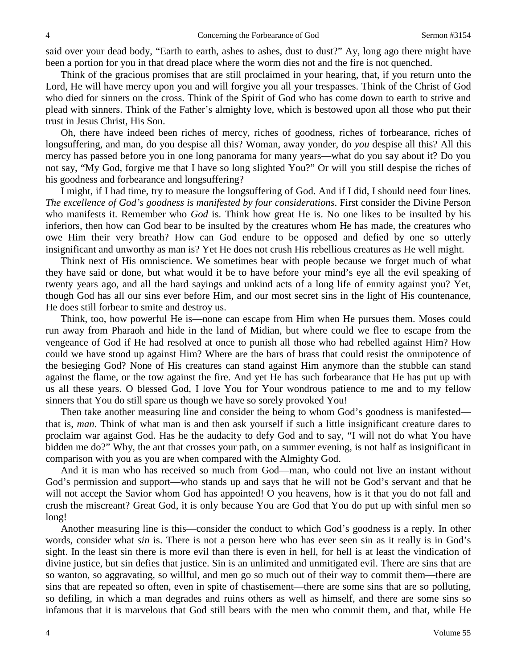said over your dead body, "Earth to earth, ashes to ashes, dust to dust?" Ay, long ago there might have been a portion for you in that dread place where the worm dies not and the fire is not quenched.

Think of the gracious promises that are still proclaimed in your hearing, that, if you return unto the Lord, He will have mercy upon you and will forgive you all your trespasses. Think of the Christ of God who died for sinners on the cross. Think of the Spirit of God who has come down to earth to strive and plead with sinners. Think of the Father's almighty love, which is bestowed upon all those who put their trust in Jesus Christ, His Son.

Oh, there have indeed been riches of mercy, riches of goodness, riches of forbearance, riches of longsuffering, and man, do you despise all this? Woman, away yonder, do *you* despise all this? All this mercy has passed before you in one long panorama for many years—what do you say about it? Do you not say, "My God, forgive me that I have so long slighted You?" Or will you still despise the riches of his goodness and forbearance and longsuffering?

I might, if I had time, try to measure the longsuffering of God. And if I did, I should need four lines. *The excellence of God's goodness is manifested by four considerations*. First consider the Divine Person who manifests it. Remember who *God* is. Think how great He is. No one likes to be insulted by his inferiors, then how can God bear to be insulted by the creatures whom He has made, the creatures who owe Him their very breath? How can God endure to be opposed and defied by one so utterly insignificant and unworthy as man is? Yet He does not crush His rebellious creatures as He well might.

Think next of His omniscience. We sometimes bear with people because we forget much of what they have said or done, but what would it be to have before your mind's eye all the evil speaking of twenty years ago, and all the hard sayings and unkind acts of a long life of enmity against you? Yet, though God has all our sins ever before Him, and our most secret sins in the light of His countenance, He does still forbear to smite and destroy us.

Think, too, how powerful He is—none can escape from Him when He pursues them. Moses could run away from Pharaoh and hide in the land of Midian, but where could we flee to escape from the vengeance of God if He had resolved at once to punish all those who had rebelled against Him? How could we have stood up against Him? Where are the bars of brass that could resist the omnipotence of the besieging God? None of His creatures can stand against Him anymore than the stubble can stand against the flame, or the tow against the fire. And yet He has such forbearance that He has put up with us all these years. O blessed God, I love You for Your wondrous patience to me and to my fellow sinners that You do still spare us though we have so sorely provoked You!

Then take another measuring line and consider the being to whom God's goodness is manifested that is, *man*. Think of what man is and then ask yourself if such a little insignificant creature dares to proclaim war against God. Has he the audacity to defy God and to say, "I will not do what You have bidden me do?" Why, the ant that crosses your path, on a summer evening, is not half as insignificant in comparison with you as you are when compared with the Almighty God.

And it is man who has received so much from God—man, who could not live an instant without God's permission and support—who stands up and says that he will not be God's servant and that he will not accept the Savior whom God has appointed! O you heavens, how is it that you do not fall and crush the miscreant? Great God, it is only because You are God that You do put up with sinful men so long!

Another measuring line is this—consider the conduct to which God's goodness is a reply. In other words, consider what *sin* is. There is not a person here who has ever seen sin as it really is in God's sight. In the least sin there is more evil than there is even in hell, for hell is at least the vindication of divine justice, but sin defies that justice. Sin is an unlimited and unmitigated evil. There are sins that are so wanton, so aggravating, so willful, and men go so much out of their way to commit them—there are sins that are repeated so often, even in spite of chastisement—there are some sins that are so polluting, so defiling, in which a man degrades and ruins others as well as himself, and there are some sins so infamous that it is marvelous that God still bears with the men who commit them, and that, while He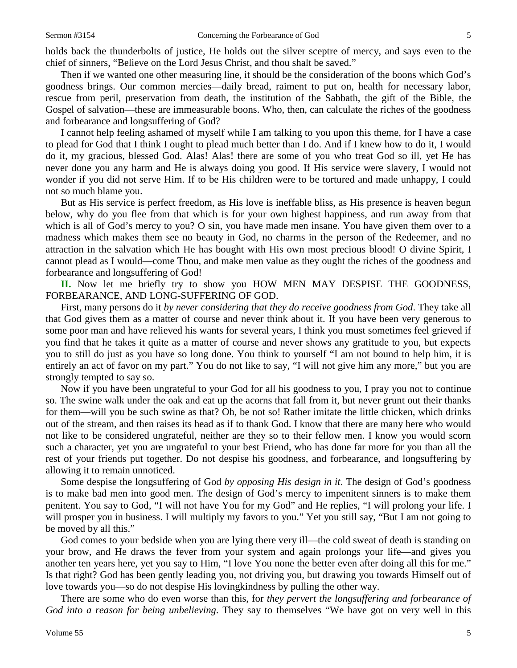holds back the thunderbolts of justice, He holds out the silver sceptre of mercy, and says even to the

chief of sinners, "Believe on the Lord Jesus Christ, and thou shalt be saved." Then if we wanted one other measuring line, it should be the consideration of the boons which God's goodness brings. Our common mercies—daily bread, raiment to put on, health for necessary labor, rescue from peril, preservation from death, the institution of the Sabbath, the gift of the Bible, the Gospel of salvation—these are immeasurable boons. Who, then, can calculate the riches of the goodness and forbearance and longsuffering of God?

I cannot help feeling ashamed of myself while I am talking to you upon this theme, for I have a case to plead for God that I think I ought to plead much better than I do. And if I knew how to do it, I would do it, my gracious, blessed God. Alas! Alas! there are some of you who treat God so ill, yet He has never done you any harm and He is always doing you good. If His service were slavery, I would not wonder if you did not serve Him. If to be His children were to be tortured and made unhappy, I could not so much blame you.

But as His service is perfect freedom, as His love is ineffable bliss, as His presence is heaven begun below, why do you flee from that which is for your own highest happiness, and run away from that which is all of God's mercy to you? O sin, you have made men insane. You have given them over to a madness which makes them see no beauty in God, no charms in the person of the Redeemer, and no attraction in the salvation which He has bought with His own most precious blood! O divine Spirit, I cannot plead as I would—come Thou, and make men value as they ought the riches of the goodness and forbearance and longsuffering of God!

**II.** Now let me briefly try to show you HOW MEN MAY DESPISE THE GOODNESS, FORBEARANCE, AND LONG-SUFFERING OF GOD.

First, many persons do it *by never considering that they do receive goodness from God*. They take all that God gives them as a matter of course and never think about it. If you have been very generous to some poor man and have relieved his wants for several years, I think you must sometimes feel grieved if you find that he takes it quite as a matter of course and never shows any gratitude to you, but expects you to still do just as you have so long done. You think to yourself "I am not bound to help him, it is entirely an act of favor on my part." You do not like to say, "I will not give him any more," but you are strongly tempted to say so.

Now if you have been ungrateful to your God for all his goodness to you, I pray you not to continue so. The swine walk under the oak and eat up the acorns that fall from it, but never grunt out their thanks for them—will you be such swine as that? Oh, be not so! Rather imitate the little chicken, which drinks out of the stream, and then raises its head as if to thank God. I know that there are many here who would not like to be considered ungrateful, neither are they so to their fellow men. I know you would scorn such a character, yet you are ungrateful to your best Friend, who has done far more for you than all the rest of your friends put together. Do not despise his goodness, and forbearance, and longsuffering by allowing it to remain unnoticed.

Some despise the longsuffering of God *by opposing His design in it*. The design of God's goodness is to make bad men into good men. The design of God's mercy to impenitent sinners is to make them penitent. You say to God, "I will not have You for my God" and He replies, "I will prolong your life. I will prosper you in business. I will multiply my favors to you." Yet you still say, "But I am not going to be moved by all this."

God comes to your bedside when you are lying there very ill—the cold sweat of death is standing on your brow, and He draws the fever from your system and again prolongs your life—and gives you another ten years here, yet you say to Him, "I love You none the better even after doing all this for me." Is that right? God has been gently leading you, not driving you, but drawing you towards Himself out of love towards you—so do not despise His lovingkindness by pulling the other way.

There are some who do even worse than this, for *they pervert the longsuffering and forbearance of God into a reason for being unbelieving*. They say to themselves "We have got on very well in this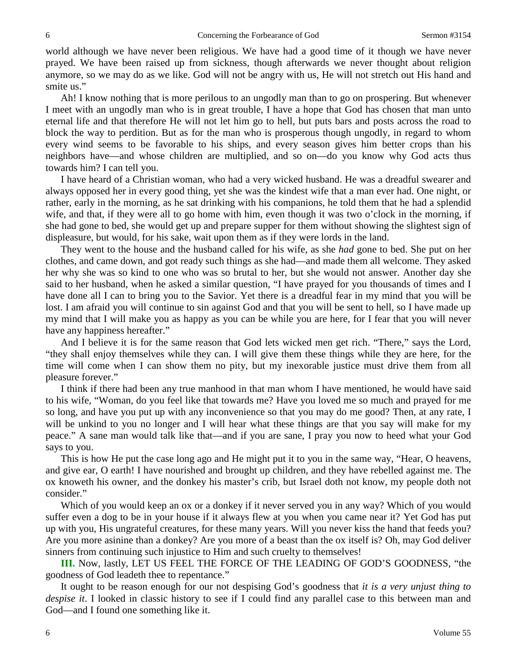world although we have never been religious. We have had a good time of it though we have never prayed. We have been raised up from sickness, though afterwards we never thought about religion anymore, so we may do as we like. God will not be angry with us, He will not stretch out His hand and smite us."

Ah! I know nothing that is more perilous to an ungodly man than to go on prospering. But whenever I meet with an ungodly man who is in great trouble, I have a hope that God has chosen that man unto eternal life and that therefore He will not let him go to hell, but puts bars and posts across the road to block the way to perdition. But as for the man who is prosperous though ungodly, in regard to whom every wind seems to be favorable to his ships, and every season gives him better crops than his neighbors have—and whose children are multiplied, and so on—do you know why God acts thus towards him? I can tell you.

I have heard of a Christian woman, who had a very wicked husband. He was a dreadful swearer and always opposed her in every good thing, yet she was the kindest wife that a man ever had. One night, or rather, early in the morning, as he sat drinking with his companions, he told them that he had a splendid wife, and that, if they were all to go home with him, even though it was two o'clock in the morning, if she had gone to bed, she would get up and prepare supper for them without showing the slightest sign of displeasure, but would, for his sake, wait upon them as if they were lords in the land.

They went to the house and the husband called for his wife, as she *had* gone to bed. She put on her clothes, and came down, and got ready such things as she had—and made them all welcome. They asked her why she was so kind to one who was so brutal to her, but she would not answer. Another day she said to her husband, when he asked a similar question, "I have prayed for you thousands of times and I have done all I can to bring you to the Savior. Yet there is a dreadful fear in my mind that you will be lost. I am afraid you will continue to sin against God and that you will be sent to hell, so I have made up my mind that I will make you as happy as you can be while you are here, for I fear that you will never have any happiness hereafter."

And I believe it is for the same reason that God lets wicked men get rich. "There," says the Lord, "they shall enjoy themselves while they can. I will give them these things while they are here, for the time will come when I can show them no pity, but my inexorable justice must drive them from all pleasure forever."

I think if there had been any true manhood in that man whom I have mentioned, he would have said to his wife, "Woman, do you feel like that towards me? Have you loved me so much and prayed for me so long, and have you put up with any inconvenience so that you may do me good? Then, at any rate, I will be unkind to you no longer and I will hear what these things are that you say will make for my peace." A sane man would talk like that—and if you are sane, I pray you now to heed what your God says to you.

This is how He put the case long ago and He might put it to you in the same way, "Hear, O heavens, and give ear, O earth! I have nourished and brought up children, and they have rebelled against me. The ox knoweth his owner, and the donkey his master's crib, but Israel doth not know, my people doth not consider."

Which of you would keep an ox or a donkey if it never served you in any way? Which of you would suffer even a dog to be in your house if it always flew at you when you came near it? Yet God has put up with you, His ungrateful creatures, for these many years. Will you never kiss the hand that feeds you? Are you more asinine than a donkey? Are you more of a beast than the ox itself is? Oh, may God deliver sinners from continuing such injustice to Him and such cruelty to themselves!

**III.** Now, lastly, LET US FEEL THE FORCE OF THE LEADING OF GOD'S GOODNESS, "the goodness of God leadeth thee to repentance."

It ought to be reason enough for our not despising God's goodness that *it is a very unjust thing to despise it*. I looked in classic history to see if I could find any parallel case to this between man and God—and I found one something like it.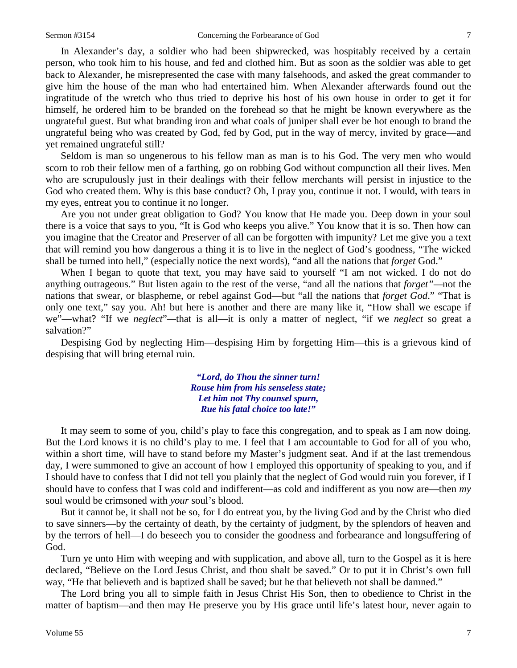In Alexander's day, a soldier who had been shipwrecked, was hospitably received by a certain person, who took him to his house, and fed and clothed him. But as soon as the soldier was able to get back to Alexander, he misrepresented the case with many falsehoods, and asked the great commander to give him the house of the man who had entertained him. When Alexander afterwards found out the ingratitude of the wretch who thus tried to deprive his host of his own house in order to get it for himself, he ordered him to be branded on the forehead so that he might be known everywhere as the ungrateful guest. But what branding iron and what coals of juniper shall ever be hot enough to brand the ungrateful being who was created by God, fed by God, put in the way of mercy, invited by grace—and yet remained ungrateful still?

Seldom is man so ungenerous to his fellow man as man is to his God. The very men who would scorn to rob their fellow men of a farthing, go on robbing God without compunction all their lives. Men who are scrupulously just in their dealings with their fellow merchants will persist in injustice to the God who created them. Why is this base conduct? Oh, I pray you, continue it not. I would, with tears in my eyes, entreat you to continue it no longer.

Are you not under great obligation to God? You know that He made you. Deep down in your soul there is a voice that says to you, "It is God who keeps you alive." You know that it is so. Then how can you imagine that the Creator and Preserver of all can be forgotten with impunity? Let me give you a text that will remind you how dangerous a thing it is to live in the neglect of God's goodness, "The wicked shall be turned into hell," (especially notice the next words), "and all the nations that *forget* God."

When I began to quote that text, you may have said to yourself "I am not wicked. I do not do anything outrageous." But listen again to the rest of the verse, "and all the nations that *forget"—*not the nations that swear, or blaspheme, or rebel against God—but "all the nations that *forget God*." "That is only one text," say you. Ah! but here is another and there are many like it, "How shall we escape if we"—what? "If we *neglect*"*—*that is all—it is only a matter of neglect, "if we *neglect* so great a salvation?"

Despising God by neglecting Him—despising Him by forgetting Him—this is a grievous kind of despising that will bring eternal ruin.

> *"Lord, do Thou the sinner turn! Rouse him from his senseless state; Let him not Thy counsel spurn, Rue his fatal choice too late!"*

It may seem to some of you, child's play to face this congregation, and to speak as I am now doing. But the Lord knows it is no child's play to me. I feel that I am accountable to God for all of you who, within a short time, will have to stand before my Master's judgment seat. And if at the last tremendous day, I were summoned to give an account of how I employed this opportunity of speaking to you, and if I should have to confess that I did not tell you plainly that the neglect of God would ruin you forever, if I should have to confess that I was cold and indifferent—as cold and indifferent as you now are—then *my*  soul would be crimsoned with *your* soul's blood.

But it cannot be, it shall not be so, for I do entreat you, by the living God and by the Christ who died to save sinners—by the certainty of death, by the certainty of judgment, by the splendors of heaven and by the terrors of hell—I do beseech you to consider the goodness and forbearance and longsuffering of God.

Turn ye unto Him with weeping and with supplication, and above all, turn to the Gospel as it is here declared, "Believe on the Lord Jesus Christ, and thou shalt be saved." Or to put it in Christ's own full way, "He that believeth and is baptized shall be saved; but he that believeth not shall be damned."

The Lord bring you all to simple faith in Jesus Christ His Son, then to obedience to Christ in the matter of baptism—and then may He preserve you by His grace until life's latest hour, never again to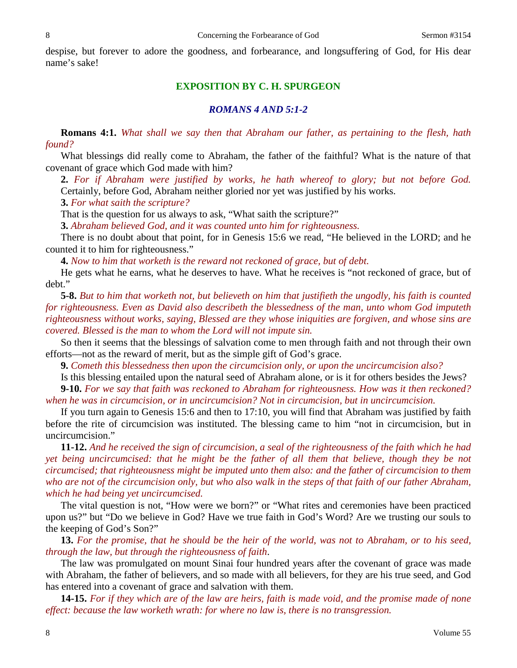despise, but forever to adore the goodness, and forbearance, and longsuffering of God, for His dear name's sake!

#### **EXPOSITION BY C. H. SPURGEON**

### *ROMANS 4 AND 5:1-2*

**Romans 4:1.** *What shall we say then that Abraham our father, as pertaining to the flesh, hath found?* 

What blessings did really come to Abraham, the father of the faithful? What is the nature of that covenant of grace which God made with him?

**2.** *For if Abraham were justified by works, he hath whereof to glory; but not before God.* Certainly, before God, Abraham neither gloried nor yet was justified by his works.

**3.** *For what saith the scripture?*

That is the question for us always to ask, "What saith the scripture?"

**3.** *Abraham believed God, and it was counted unto him for righteousness.*

There is no doubt about that point, for in Genesis 15:6 we read, "He believed in the LORD; and he counted it to him for righteousness."

**4.** *Now to him that worketh is the reward not reckoned of grace, but of debt.* 

He gets what he earns, what he deserves to have. What he receives is "not reckoned of grace, but of debt."

**5-8.** *But to him that worketh not, but believeth on him that justifieth the ungodly, his faith is counted for righteousness. Even as David also describeth the blessedness of the man, unto whom God imputeth righteousness without works, saying, Blessed are they whose iniquities are forgiven, and whose sins are covered. Blessed is the man to whom the Lord will not impute sin.*

So then it seems that the blessings of salvation come to men through faith and not through their own efforts—not as the reward of merit, but as the simple gift of God's grace.

**9.** *Cometh this blessedness then upon the circumcision only, or upon the uncircumcision also?*

Is this blessing entailed upon the natural seed of Abraham alone, or is it for others besides the Jews? **9-10.** *For we say that faith was reckoned to Abraham for righteousness. How was it then reckoned? when he was in circumcision, or in uncircumcision? Not in circumcision, but in uncircumcision.*

If you turn again to Genesis 15:6 and then to 17:10, you will find that Abraham was justified by faith before the rite of circumcision was instituted. The blessing came to him "not in circumcision, but in uncircumcision."

**11-12.** *And he received the sign of circumcision, a seal of the righteousness of the faith which he had yet being uncircumcised: that he might be the father of all them that believe, though they be not circumcised; that righteousness might be imputed unto them also: and the father of circumcision to them who are not of the circumcision only, but who also walk in the steps of that faith of our father Abraham, which he had being yet uncircumcised.*

The vital question is not, "How were we born?" or "What rites and ceremonies have been practiced upon us?" but "Do we believe in God? Have we true faith in God's Word? Are we trusting our souls to the keeping of God's Son?"

**13.** *For the promise, that he should be the heir of the world, was not to Abraham, or to his seed, through the law, but through the righteousness of faith*.

The law was promulgated on mount Sinai four hundred years after the covenant of grace was made with Abraham, the father of believers, and so made with all believers, for they are his true seed, and God has entered into a covenant of grace and salvation with them.

**14-15.** *For if they which are of the law are heirs, faith is made void, and the promise made of none effect: because the law worketh wrath: for where no law is, there is no transgression.*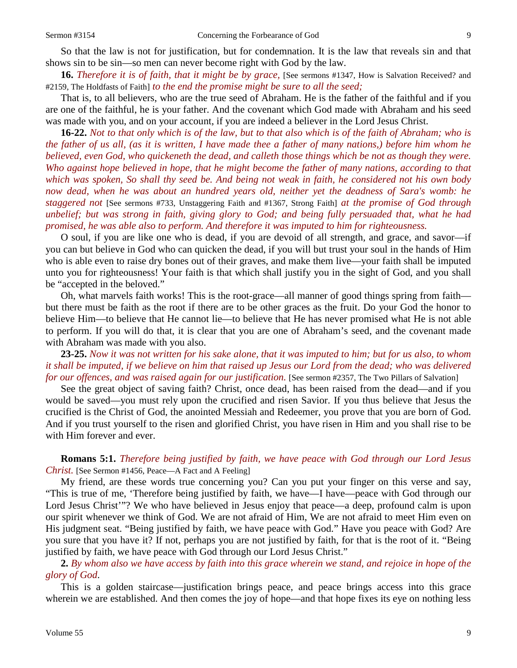So that the law is not for justification, but for condemnation. It is the law that reveals sin and that shows sin to be sin—so men can never become right with God by the law.

**16.** *Therefore it is of faith, that it might be by grace,* [See sermons #1347, How is Salvation Received? and #2159, The Holdfasts of Faith] *to the end the promise might be sure to all the seed;*

That is, to all believers, who are the true seed of Abraham. He is the father of the faithful and if you are one of the faithful, he is your father. And the covenant which God made with Abraham and his seed was made with you, and on your account, if you are indeed a believer in the Lord Jesus Christ.

**16-22.** *Not to that only which is of the law, but to that also which is of the faith of Abraham; who is the father of us all, (as it is written, I have made thee a father of many nations,) before him whom he believed, even God, who quickeneth the dead, and calleth those things which be not as though they were. Who against hope believed in hope, that he might become the father of many nations, according to that which was spoken, So shall thy seed be. And being not weak in faith, he considered not his own body now dead, when he was about an hundred years old, neither yet the deadness of Sara's womb: he staggered not* [See sermons #733, Unstaggering Faith and #1367, Strong Faith] *at the promise of God through unbelief; but was strong in faith, giving glory to God; and being fully persuaded that, what he had promised, he was able also to perform. And therefore it was imputed to him for righteousness.* 

O soul, if you are like one who is dead, if you are devoid of all strength, and grace, and savor—if you can but believe in God who can quicken the dead, if you will but trust your soul in the hands of Him who is able even to raise dry bones out of their graves, and make them live—your faith shall be imputed unto you for righteousness! Your faith is that which shall justify you in the sight of God, and you shall be "accepted in the beloved."

Oh, what marvels faith works! This is the root-grace—all manner of good things spring from faith but there must be faith as the root if there are to be other graces as the fruit. Do your God the honor to believe Him—to believe that He cannot lie—to believe that He has never promised what He is not able to perform. If you will do that, it is clear that you are one of Abraham's seed, and the covenant made with Abraham was made with you also.

**23-25.** *Now it was not written for his sake alone, that it was imputed to him; but for us also, to whom it shall be imputed, if we believe on him that raised up Jesus our Lord from the dead; who was delivered for our offences, and was raised again for our justification.* [See sermon #2357, The Two Pillars of Salvation]

See the great object of saving faith? Christ, once dead, has been raised from the dead—and if you would be saved—you must rely upon the crucified and risen Savior. If you thus believe that Jesus the crucified is the Christ of God, the anointed Messiah and Redeemer, you prove that you are born of God. And if you trust yourself to the risen and glorified Christ, you have risen in Him and you shall rise to be with Him forever and ever.

**Romans 5:1.** *Therefore being justified by faith, we have peace with God through our Lord Jesus Christ.* [See Sermon #1456, Peace—A Fact and A Feeling]

My friend, are these words true concerning you? Can you put your finger on this verse and say, "This is true of me, 'Therefore being justified by faith, we have—I have—peace with God through our Lord Jesus Christ<sup>1</sup><sup>7</sup>? We who have believed in Jesus enjoy that peace—a deep, profound calm is upon our spirit whenever we think of God. We are not afraid of Him, We are not afraid to meet Him even on His judgment seat. "Being justified by faith, we have peace with God." Have you peace with God? Are you sure that you have it? If not, perhaps you are not justified by faith, for that is the root of it. "Being justified by faith, we have peace with God through our Lord Jesus Christ."

## **2.** *By whom also we have access by faith into this grace wherein we stand, and rejoice in hope of the glory of God*.

This is a golden staircase—justification brings peace, and peace brings access into this grace wherein we are established. And then comes the joy of hope—and that hope fixes its eye on nothing less